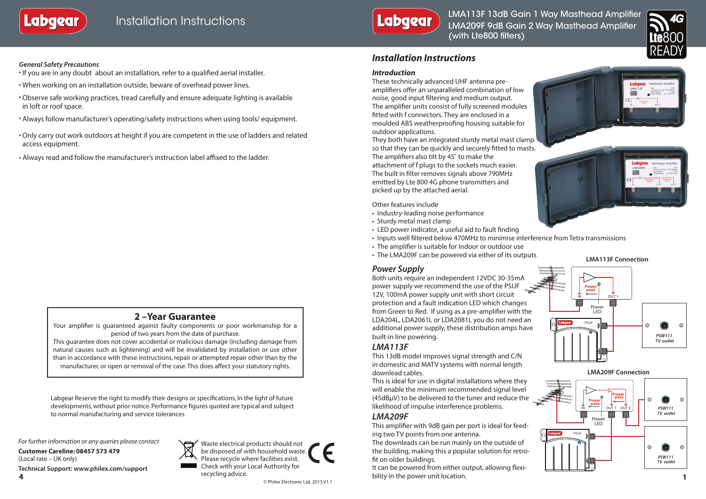



LMA113F 13dB Gain 1 Way Masthead Amplifier LMA209F 9dB Gain 2 Way Masthead Amplifier (with Lte800 filters)



### *General Safety Precautions*

- If you are in any doubt about an installation, refer to a qualified aerial installer.
- When working on an installation outside, beware of overhead power lines.
- •Observe safe working practices, tread carefully and ensure adequate lighting is available in loft or roof space.
- Always follow manufacturer's operating/safety instructions when using tools/ equipment.
- •Only carry out work outdoors at height if you are competent in the use of ladders and related access equipment.
- Always read and follow the manufacturer's instruction label affixed to the ladder.

# **2 –Year Guarantee**

Your amplifier is guaranteed against faulty components or poor workmanship for a period of two years from the date of purchase.

This guarantee does not cover accidental or malicious damage (Including damage from natural causes such as lightening) and will be invalidated by installation or use other than in accordance with these instructions, repair or attempted repair other than by the manufacturer, or open or removal of the case. This does affect your statutory rights.

Labgear Reserve the right to modify their designs or specifications, In the light of future developments, without prior notice. Performance figures quoted are typical and subject to normal manufacturing and service tolerances

*For further information or any queries please contact*

**Customer Careline: 08457 573 479** (Local rate – UK only) **Technical Support: www.philex.com/support**



Waste electrical products should not be disposed of with household waste. Please recycle where facilities exist. Check with your Local Authority for recycling advice. © Philex Electronic Ltd. 2013 V1.1

## *Installation Instructions*

### *Introduction*

These technically advanced UHF antenna preamplifiers offer an unparalleled combination of low noise, good input filtering and medium output. The amplifier units consist of fully screened modules fitted with f connectors. They are enclosed in a moulded ABS weatherproofing housing suitable for outdoor applications.

They both have an integrated sturdy metal mast clamp so that they can be quickly and securely fitted to masts. The amplifiers also tilt by 45˚ to make the attachment of f plugs to the sockets much easier. The built in filter removes signals above 790MHz emitted by Lte 800 4G phone transmitters and picked up by the attached aerial.

Other features include

- Industry-leading noise performance
- Sturdy metal mast clamp
- LED power indicator, a useful aid to fault finding
- Inputs well filtered below 470MHz to minimise interference from Tetra transmissions
- The amplifier is suitable for Indoor or outdoor use
- The LMA209F can be powered via either of its outputs

### *Power Supply*

Both units require an independent 12VDC 30-35mA power supply we recommend the use of the PSUF 12V, 100mA power supply unit with short circuit protection and a fault indication LED which changes from Green to Red. If using as a pre-amplifier with the LDA204L, LDA2061L or LDA2081L you do not need an additional power supply, these distribution amps have built-in line powering.

### *LMA113F*

This 13dB model improves signal strength and C/N in domestic and MATV systems with normal length downlead cables.

This is ideal for use in digital installations where they will enable the minimum recommended signal level (45dBμV) to be delivered to the tuner and reduce the likelihood of impulse interference problems.

### *LMA209F*

This amplifier with 9dB gain per port is ideal for feeding two TV points from one antenna.

The downleads can be run mainly on the outside of the building, making this a popular solution for retrofit on older buildings.

**4 1** It can be powered from either output, allowing flexibility in the power unit location.







**LMA113F Connection**